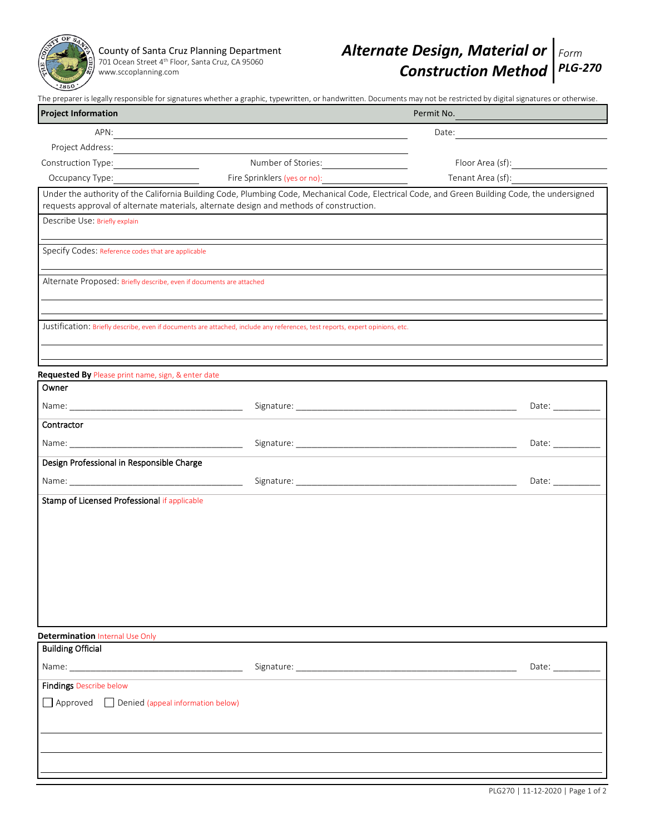

[www.sccoplanning.com](http://www.sccoplanning.com/)

|                                                                      |                                                                                                                                                                                                                                      | The preparer is legally responsible for signatures whether a graphic, typewritten, or handwritten. Documents may not be restricted by digital signatures or otherwise. |  |
|----------------------------------------------------------------------|--------------------------------------------------------------------------------------------------------------------------------------------------------------------------------------------------------------------------------------|------------------------------------------------------------------------------------------------------------------------------------------------------------------------|--|
| <b>Project Information</b>                                           |                                                                                                                                                                                                                                      | Permit No.                                                                                                                                                             |  |
|                                                                      | APN: <u>Contract Contract Contract Contract Contract Contract Contract Contract Contract Contract Contract Contract Contract Contract Contract Contract Contract Contract Contract Contract Contract Contract Contract Contract </u> |                                                                                                                                                                        |  |
|                                                                      |                                                                                                                                                                                                                                      |                                                                                                                                                                        |  |
| Construction Type: _________________                                 | Number of Stories:                                                                                                                                                                                                                   |                                                                                                                                                                        |  |
| Occupancy Type:                                                      | Fire Sprinklers (yes or no):                                                                                                                                                                                                         | Tenant Area (sf):                                                                                                                                                      |  |
|                                                                      | requests approval of alternate materials, alternate design and methods of construction.                                                                                                                                              | Under the authority of the California Building Code, Plumbing Code, Mechanical Code, Electrical Code, and Green Building Code, the undersigned                         |  |
| Describe Use: Briefly explain                                        |                                                                                                                                                                                                                                      |                                                                                                                                                                        |  |
| Specify Codes: Reference codes that are applicable                   |                                                                                                                                                                                                                                      |                                                                                                                                                                        |  |
| Alternate Proposed: Briefly describe, even if documents are attached |                                                                                                                                                                                                                                      |                                                                                                                                                                        |  |
|                                                                      |                                                                                                                                                                                                                                      |                                                                                                                                                                        |  |
|                                                                      | Justification: Briefly describe, even if documents are attached, include any references, test reports, expert opinions, etc.                                                                                                         |                                                                                                                                                                        |  |
|                                                                      |                                                                                                                                                                                                                                      |                                                                                                                                                                        |  |
| Requested By Please print name, sign, & enter date                   |                                                                                                                                                                                                                                      |                                                                                                                                                                        |  |
| Owner                                                                |                                                                                                                                                                                                                                      |                                                                                                                                                                        |  |
|                                                                      |                                                                                                                                                                                                                                      | Date: $\frac{1}{\sqrt{1-\frac{1}{2}}\cdot\frac{1}{2}}$                                                                                                                 |  |
| Contractor                                                           |                                                                                                                                                                                                                                      |                                                                                                                                                                        |  |
|                                                                      |                                                                                                                                                                                                                                      | Date: $\frac{1}{\sqrt{1-\frac{1}{2}}\cdot\frac{1}{2}}$                                                                                                                 |  |
| Design Professional in Responsible Charge                            |                                                                                                                                                                                                                                      |                                                                                                                                                                        |  |
|                                                                      |                                                                                                                                                                                                                                      | Date: $\frac{1}{\sqrt{1-\frac{1}{2}}\cdot\frac{1}{2}}$                                                                                                                 |  |
| Stamp of Licensed Professional if applicable                         |                                                                                                                                                                                                                                      |                                                                                                                                                                        |  |
|                                                                      |                                                                                                                                                                                                                                      |                                                                                                                                                                        |  |
|                                                                      |                                                                                                                                                                                                                                      |                                                                                                                                                                        |  |
|                                                                      |                                                                                                                                                                                                                                      |                                                                                                                                                                        |  |
|                                                                      |                                                                                                                                                                                                                                      |                                                                                                                                                                        |  |
|                                                                      |                                                                                                                                                                                                                                      |                                                                                                                                                                        |  |
|                                                                      |                                                                                                                                                                                                                                      |                                                                                                                                                                        |  |
|                                                                      |                                                                                                                                                                                                                                      |                                                                                                                                                                        |  |
|                                                                      |                                                                                                                                                                                                                                      |                                                                                                                                                                        |  |
| <b>Determination Internal Use Only</b>                               |                                                                                                                                                                                                                                      |                                                                                                                                                                        |  |
| <b>Building Official</b>                                             |                                                                                                                                                                                                                                      |                                                                                                                                                                        |  |
|                                                                      |                                                                                                                                                                                                                                      | Date: ___________                                                                                                                                                      |  |
| <b>Findings Describe below</b>                                       |                                                                                                                                                                                                                                      |                                                                                                                                                                        |  |
| Approved <b>Denied</b> (appeal information below)                    |                                                                                                                                                                                                                                      |                                                                                                                                                                        |  |
|                                                                      |                                                                                                                                                                                                                                      |                                                                                                                                                                        |  |
|                                                                      |                                                                                                                                                                                                                                      |                                                                                                                                                                        |  |
|                                                                      |                                                                                                                                                                                                                                      |                                                                                                                                                                        |  |